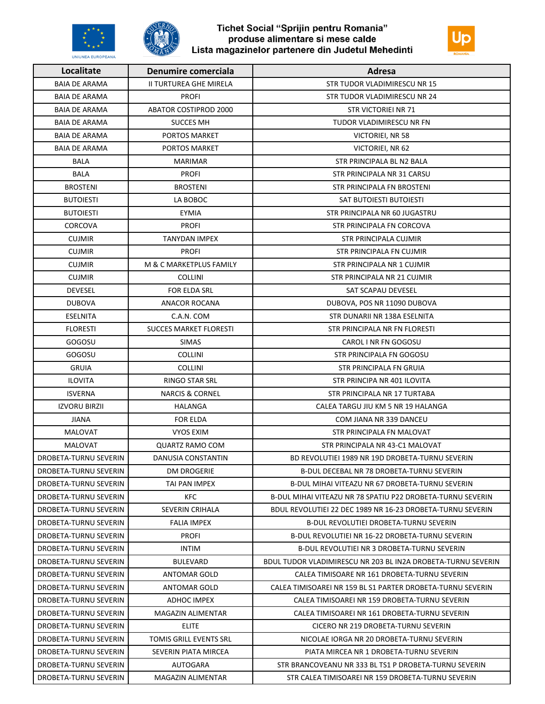

UNIUNEA EUROPEANA

## Tichet Social "Sprijin pentru Romania" produse alimentare si mese calde Lista magazinelor partenere din Judetul Mehedinti



| Localitate            | Denumire comerciala           | Adresa                                                       |
|-----------------------|-------------------------------|--------------------------------------------------------------|
| <b>BAIA DE ARAMA</b>  | II TURTUREA GHE MIRELA        | STR TUDOR VLADIMIRESCU NR 15                                 |
| <b>BAIA DE ARAMA</b>  | <b>PROFI</b>                  | STR TUDOR VLADIMIRESCU NR 24                                 |
| <b>BAIA DE ARAMA</b>  | <b>ABATOR COSTIPROD 2000</b>  | <b>STR VICTORIEI NR 71</b>                                   |
| <b>BAIA DE ARAMA</b>  | <b>SUCCES MH</b>              | TUDOR VLADIMIRESCU NR FN                                     |
| <b>BAIA DE ARAMA</b>  | PORTOS MARKET                 | VICTORIEI, NR 58                                             |
| <b>BAIA DE ARAMA</b>  | PORTOS MARKET                 | VICTORIEI, NR 62                                             |
| <b>BALA</b>           | <b>MARIMAR</b>                | STR PRINCIPALA BL N2 BALA                                    |
| <b>BALA</b>           | <b>PROFI</b>                  | STR PRINCIPALA NR 31 CARSU                                   |
| <b>BROSTENI</b>       | <b>BROSTENI</b>               | STR PRINCIPALA FN BROSTENI                                   |
| <b>BUTOIESTI</b>      | LA BOBOC                      | SAT BUTOIESTI BUTOIESTI                                      |
| <b>BUTOIESTI</b>      | <b>EYMIA</b>                  | STR PRINCIPALA NR 60 JUGASTRU                                |
| CORCOVA               | <b>PROFI</b>                  | STR PRINCIPALA FN CORCOVA                                    |
| <b>CUJMIR</b>         | <b>TANYDAN IMPEX</b>          | STR PRINCIPALA CUJMIR                                        |
| <b>CUJMIR</b>         | <b>PROFI</b>                  | STR PRINCIPALA FN CUJMIR                                     |
| <b>CUJMIR</b>         | M & C MARKETPLUS FAMILY       | STR PRINCIPALA NR 1 CUJMIR                                   |
| <b>CUJMIR</b>         | <b>COLLINI</b>                | STR PRINCIPALA NR 21 CUJMIR                                  |
| <b>DEVESEL</b>        | <b>FOR ELDA SRL</b>           | SAT SCAPAU DEVESEL                                           |
| <b>DUBOVA</b>         | <b>ANACOR ROCANA</b>          | DUBOVA, POS NR 11090 DUBOVA                                  |
| ESELNITA              | C.A.N. COM                    | STR DUNARII NR 138A ESELNITA                                 |
| <b>FLORESTI</b>       | <b>SUCCES MARKET FLORESTI</b> | STR PRINCIPALA NR FN FLORESTI                                |
| GOGOSU                | <b>SIMAS</b>                  | CAROL I NR FN GOGOSU                                         |
| GOGOSU                | <b>COLLINI</b>                | STR PRINCIPALA FN GOGOSU                                     |
| <b>GRUIA</b>          | <b>COLLINI</b>                | STR PRINCIPALA FN GRUIA                                      |
| <b>ILOVITA</b>        | <b>RINGO STAR SRL</b>         | STR PRINCIPA NR 401 ILOVITA                                  |
| <b>ISVERNA</b>        | <b>NARCIS &amp; CORNEL</b>    | STR PRINCIPALA NR 17 TURTABA                                 |
| <b>IZVORU BIRZII</b>  | <b>HALANGA</b>                | CALEA TARGU JIU KM 5 NR 19 HALANGA                           |
| <b>JIANA</b>          | <b>FOR ELDA</b>               | COM JIANA NR 339 DANCEU                                      |
| <b>MALOVAT</b>        | <b>VYOS EXIM</b>              | STR PRINCIPALA FN MALOVAT                                    |
| <b>MALOVAT</b>        | <b>QUARTZ RAMO COM</b>        | STR PRINCIPALA NR 43-C1 MALOVAT                              |
| DROBETA-TURNU SEVERIN | DANUSIA CONSTANTIN            | BD REVOLUTIEI 1989 NR 19D DROBETA-TURNU SEVERIN              |
| DROBETA-TURNU SEVERIN | <b>DM DROGERIE</b>            | B-DUL DECEBAL NR 78 DROBETA-TURNU SEVERIN                    |
| DROBETA-TURNU SEVERIN | TAI PAN IMPEX                 | B-DUL MIHAI VITEAZU NR 67 DROBETA-TURNU SEVERIN              |
| DROBETA-TURNU SEVERIN | <b>KFC</b>                    | B-DUL MIHAI VITEAZU NR 78 SPATIU P22 DROBETA-TURNU SEVERIN   |
| DROBETA-TURNU SEVERIN | SEVERIN CRIHALA               | BDUL REVOLUTIEI 22 DEC 1989 NR 16-23 DROBETA-TURNU SEVERIN   |
| DROBETA-TURNU SEVERIN | <b>FALIA IMPEX</b>            | <b>B-DUL REVOLUTIEI DROBETA-TURNU SEVERIN</b>                |
| DROBETA-TURNU SEVERIN | <b>PROFI</b>                  | B-DUL REVOLUTIEI NR 16-22 DROBETA-TURNU SEVERIN              |
| DROBETA-TURNU SEVERIN | INTIM                         | B-DUL REVOLUTIEI NR 3 DROBETA-TURNU SEVERIN                  |
| DROBETA-TURNU SEVERIN | <b>BULEVARD</b>               | BDUL TUDOR VLADIMIRESCU NR 203 BL IN2A DROBETA-TURNU SEVERIN |
| DROBETA-TURNU SEVERIN | <b>ANTOMAR GOLD</b>           | CALEA TIMISOARE NR 161 DROBETA-TURNU SEVERIN                 |
| DROBETA-TURNU SEVERIN | <b>ANTOMAR GOLD</b>           | CALEA TIMISOAREI NR 159 BL S1 PARTER DROBETA-TURNU SEVERIN   |
| DROBETA-TURNU SEVERIN | ADHOC IMPEX                   | CALEA TIMISOAREI NR 159 DROBETA-TURNU SEVERIN                |
| DROBETA-TURNU SEVERIN | MAGAZIN ALIMENTAR             | CALEA TIMISOAREI NR 161 DROBETA-TURNU SEVERIN                |
| DROBETA-TURNU SEVERIN | elite                         | CICERO NR 219 DROBETA-TURNU SEVERIN                          |
| DROBETA-TURNU SEVERIN | TOMIS GRILL EVENTS SRL        | NICOLAE IORGA NR 20 DROBETA-TURNU SEVERIN                    |
| DROBETA-TURNU SEVERIN | SEVERIN PIATA MIRCEA          | PIATA MIRCEA NR 1 DROBETA-TURNU SEVERIN                      |
| DROBETA-TURNU SEVERIN | <b>AUTOGARA</b>               | STR BRANCOVEANU NR 333 BL TS1 P DROBETA-TURNU SEVERIN        |
| DROBETA-TURNU SEVERIN | MAGAZIN ALIMENTAR             | STR CALEA TIMISOAREI NR 159 DROBETA-TURNU SEVERIN            |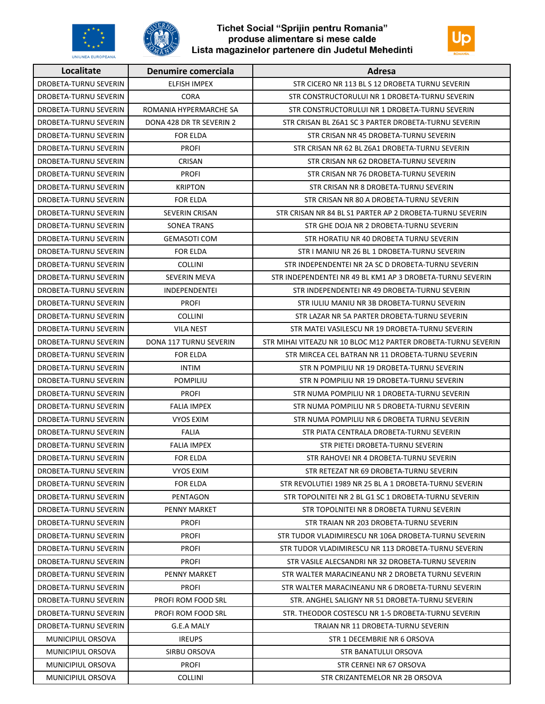

**UNIUNEA EUROPEANA** 

## Tichet Social "Sprijin pentru Romania" produse alimentare si mese calde Lista magazinelor partenere din Judetul Mehedinti



| Localitate            | Denumire comerciala       | Adresa                                                        |
|-----------------------|---------------------------|---------------------------------------------------------------|
| DROBETA-TURNU SEVERIN | <b>ELFISH IMPEX</b>       | STR CICERO NR 113 BL S 12 DROBETA TURNU SEVERIN               |
| DROBETA-TURNU SEVERIN | <b>CORA</b>               | STR CONSTRUCTORULUI NR 1 DROBETA-TURNU SEVERIN                |
| DROBETA-TURNU SEVERIN | ROMANIA HYPERMARCHE SA    | STR CONSTRUCTORULUI NR 1 DROBETA-TURNU SEVERIN                |
| DROBETA-TURNU SEVERIN | DONA 428 DR TR SEVERIN 2  | STR CRISAN BL Z6A1 SC 3 PARTER DROBETA-TURNU SEVERIN          |
| DROBETA-TURNU SEVERIN | <b>FOR ELDA</b>           | STR CRISAN NR 45 DROBETA-TURNU SEVERIN                        |
| DROBETA-TURNU SEVERIN | <b>PROFI</b>              | STR CRISAN NR 62 BL Z6A1 DROBETA-TURNU SEVERIN                |
| DROBETA-TURNU SEVERIN | CRISAN                    | STR CRISAN NR 62 DROBETA-TURNU SEVERIN                        |
| DROBETA-TURNU SEVERIN | <b>PROFI</b>              | STR CRISAN NR 76 DROBETA-TURNU SEVERIN                        |
| DROBETA-TURNU SEVERIN | <b>KRIPTON</b>            | STR CRISAN NR 8 DROBETA-TURNU SEVERIN                         |
| DROBETA-TURNU SEVERIN | <b>FOR ELDA</b>           | STR CRISAN NR 80 A DROBETA-TURNU SEVERIN                      |
| DROBETA-TURNU SEVERIN | SEVERIN CRISAN            | STR CRISAN NR 84 BL S1 PARTER AP 2 DROBETA-TURNU SEVERIN      |
| DROBETA-TURNU SEVERIN | <b>SONEA TRANS</b>        | STR GHE DOJA NR 2 DROBETA-TURNU SEVERIN                       |
| DROBETA-TURNU SEVERIN | <b>GEMASOTI COM</b>       | STR HORATIU NR 40 DROBETA TURNU SEVERIN                       |
| DROBETA-TURNU SEVERIN | <b>FOR ELDA</b>           | STR I MANIU NR 26 BL 1 DROBETA-TURNU SEVERIN                  |
| DROBETA-TURNU SEVERIN | <b>COLLINI</b>            | STR INDEPENDENTEI NR 2A SC D DROBETA-TURNU SEVERIN            |
| DROBETA-TURNU SEVERIN | <b>SEVERIN MEVA</b>       | STR INDEPENDENTEI NR 49 BL KM1 AP 3 DROBETA-TURNU SEVERIN     |
| DROBETA-TURNU SEVERIN | <b>INDEPENDENTEI</b>      | STR INDEPENDENTEI NR 49 DROBETA-TURNU SEVERIN                 |
| DROBETA-TURNU SEVERIN | <b>PROFI</b>              | STR IULIU MANIU NR 3B DROBETA-TURNU SEVERIN                   |
| DROBETA-TURNU SEVERIN | <b>COLLINI</b>            | STR LAZAR NR 5A PARTER DROBETA-TURNU SEVERIN                  |
| DROBETA-TURNU SEVERIN | <b>VILA NEST</b>          | STR MATEI VASILESCU NR 19 DROBETA-TURNU SEVERIN               |
| DROBETA-TURNU SEVERIN | DONA 117 TURNU SEVERIN    | STR MIHAI VITEAZU NR 10 BLOC M12 PARTER DROBETA-TURNU SEVERIN |
| DROBETA-TURNU SEVERIN | <b>FOR ELDA</b>           | STR MIRCEA CEL BATRAN NR 11 DROBETA-TURNU SEVERIN             |
| DROBETA-TURNU SEVERIN | <b>INTIM</b>              | STR N POMPILIU NR 19 DROBETA-TURNU SEVERIN                    |
| DROBETA-TURNU SEVERIN | <b>POMPILIU</b>           | STR N POMPILIU NR 19 DROBETA-TURNU SEVERIN                    |
| DROBETA-TURNU SEVERIN | <b>PROFI</b>              | STR NUMA POMPILIU NR 1 DROBETA-TURNU SEVERIN                  |
| DROBETA-TURNU SEVERIN | <b>FALIA IMPEX</b>        | STR NUMA POMPILIU NR 5 DROBETA-TURNU SEVERIN                  |
| DROBETA-TURNU SEVERIN | VYOS EXIM                 | STR NUMA POMPILIU NR 6 DROBETA TURNU SEVERIN                  |
| DROBETA-TURNU SEVERIN | FALIA                     | STR PIATA CENTRALA DROBETA-TURNU SEVERIN                      |
| DROBETA-TURNU SEVERIN | <b>FALIA IMPEX</b>        | STR PIETEI DROBETA-TURNU SEVERIN                              |
| DROBETA-TURNU SEVERIN | <b>FOR ELDA</b>           | STR RAHOVEI NR 4 DROBETA-TURNU SEVERIN                        |
| DROBETA-TURNU SEVERIN | VYOS EXIM                 | STR RETEZAT NR 69 DROBETA-TURNU SEVERIN                       |
| DROBETA-TURNU SEVERIN | FOR ELDA                  | STR REVOLUTIEI 1989 NR 25 BL A 1 DROBETA-TURNU SEVERIN        |
| DROBETA-TURNU SEVERIN | PENTAGON                  | STR TOPOLNITEI NR 2 BL G1 SC 1 DROBETA-TURNU SEVERIN          |
| DROBETA-TURNU SEVERIN | PENNY MARKET              | STR TOPOLNITEI NR 8 DROBETA TURNU SEVERIN                     |
| DROBETA-TURNU SEVERIN | <b>PROFI</b>              | STR TRAIAN NR 203 DROBETA-TURNU SEVERIN                       |
| DROBETA-TURNU SEVERIN | <b>PROFI</b>              | STR TUDOR VLADIMIRESCU NR 106A DROBETA-TURNU SEVERIN          |
| DROBETA-TURNU SEVERIN | <b>PROFI</b>              | STR TUDOR VLADIMIRESCU NR 113 DROBETA-TURNU SEVERIN           |
| DROBETA-TURNU SEVERIN | <b>PROFI</b>              | STR VASILE ALECSANDRI NR 32 DROBETA-TURNU SEVERIN             |
| DROBETA-TURNU SEVERIN | PENNY MARKET              | STR WALTER MARACINEANU NR 2 DROBETA TURNU SEVERIN             |
| DROBETA-TURNU SEVERIN | <b>PROFI</b>              | STR WALTER MARACINEANU NR 6 DROBETA-TURNU SEVERIN             |
| DROBETA-TURNU SEVERIN | PROFI ROM FOOD SRL        | STR. ANGHEL SALIGNY NR 51 DROBETA-TURNU SEVERIN               |
| DROBETA-TURNU SEVERIN | <b>PROFI ROM FOOD SRL</b> | STR. THEODOR COSTESCU NR 1-5 DROBETA-TURNU SEVERIN            |
| DROBETA-TURNU SEVERIN | G.E.A MALY                | TRAIAN NR 11 DROBETA-TURNU SEVERIN                            |
| MUNICIPIUL ORSOVA     | <b>IREUPS</b>             | STR 1 DECEMBRIE NR 6 ORSOVA                                   |
| MUNICIPIUL ORSOVA     | SIRBU ORSOVA              | <b>STR BANATULUI ORSOVA</b>                                   |
| MUNICIPIUL ORSOVA     | <b>PROFI</b>              | STR CERNEI NR 67 ORSOVA                                       |
| MUNICIPIUL ORSOVA     | <b>COLLINI</b>            | STR CRIZANTEMELOR NR 2B ORSOVA                                |